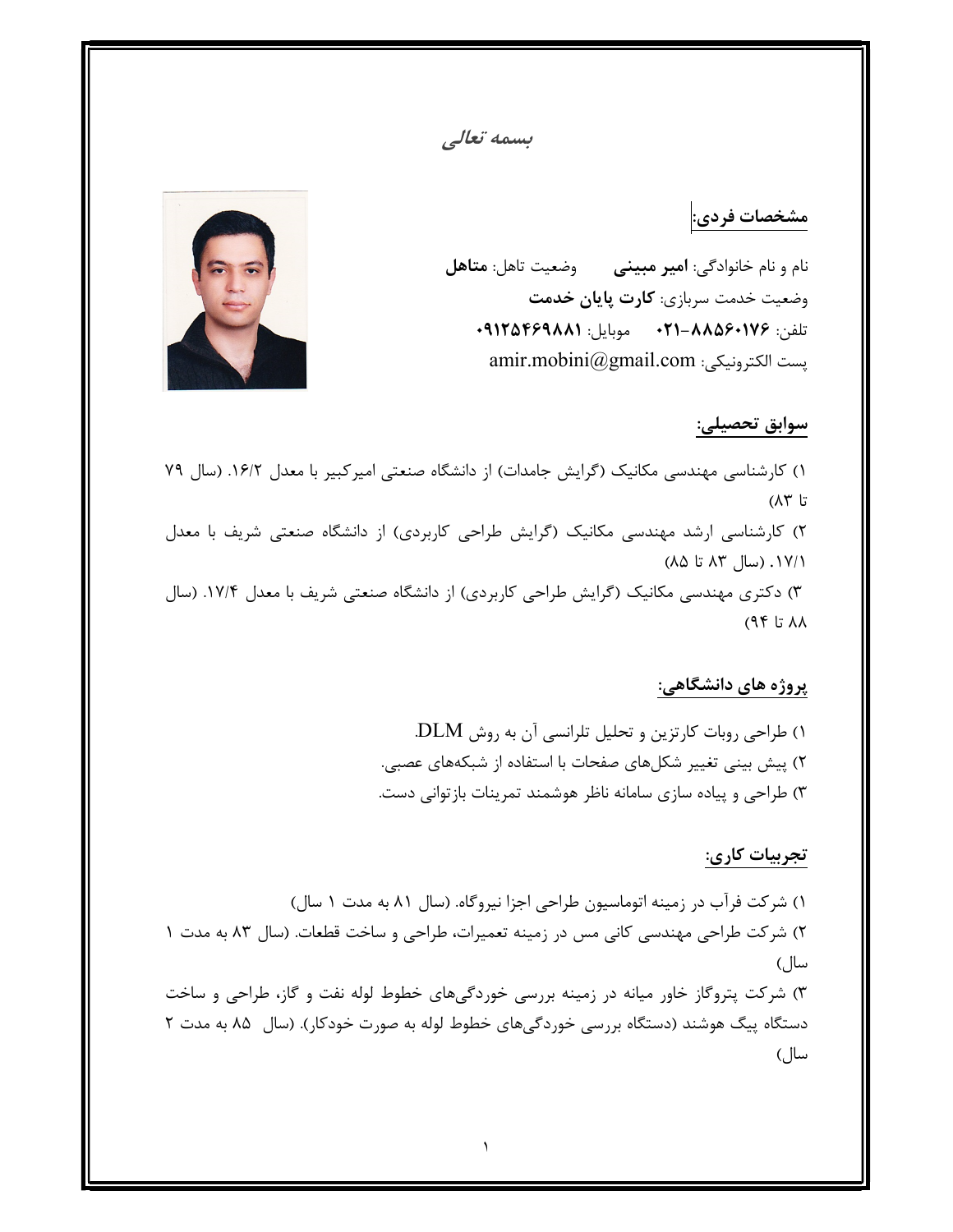## بسمه تعالي

# مشخصات فردي:

نام و نام خانوادگي: امير مبيني وضعيت تاهل: متاهل وضعيت خدمت سربازي: كارت پايان خدمت تلفن: -٨٨٥٦٠١٧٦ ٠٢١ موبايل: ٠٩١٢٥٤٦٩٨٨١ amir.mobini@gmail.com :الكترونيكي پست



### سوابق تحصيلي:

١) كارشناسي مهندسي مكانيك (گرايش جامدات) از دانشگاه صنعتي اميركبير با معدل .١٦/٢ (سال ٧٩ تا ٨٣) ٢) كارشناسي ارشد مهندسي مكانيك (گرايش طراحي كاربردي) از دانشگاه صنعتي شريف با معدل .١٧/١ (سال ٨٣ تا ٨٥) ٣) دكتري مهندسي مكانيك (گرايش طراحي كاربردي) از دانشگاه صنعتي شريف با معدل .١٧/٤ (سال ٨٨ تا ٩٤)

## پروژه هاي دانشگاهي:

١) طراحي روبات كارتزين و تحليل تلرانسي آن به روش DLM. ٢) پيش بيني تغيير شكلهاي صفحات با استفاده از شبكههاي عصبي. ٣) طراحي و پياده سازي سامانه ناظر هوشمند تمرينات بازتواني دست.

# تجربيات كاري:

١) شركت فرآب در زمينه اتوماسيون طراحي اجزا نيروگاه. (سال ٨١ به مدت ١ سال) ٢) شركت طراحي مهندسي كاني مس در زمينه تعميرات، طراحي و ساخت قطعات. (سال ٨٣ به مدت ١ سال) ٣) شركت پتروگاز خاور ميانه در زمينه بررسي خوردگيهاي خطوط لوله نفت و گاز، طراحي و ساخت دستگاه پيگ هوشند (دستگاه بررسي خوردگيهاي خطوط لوله به صورت خودكار). (سال ٨٥ به مدت ٢ سال)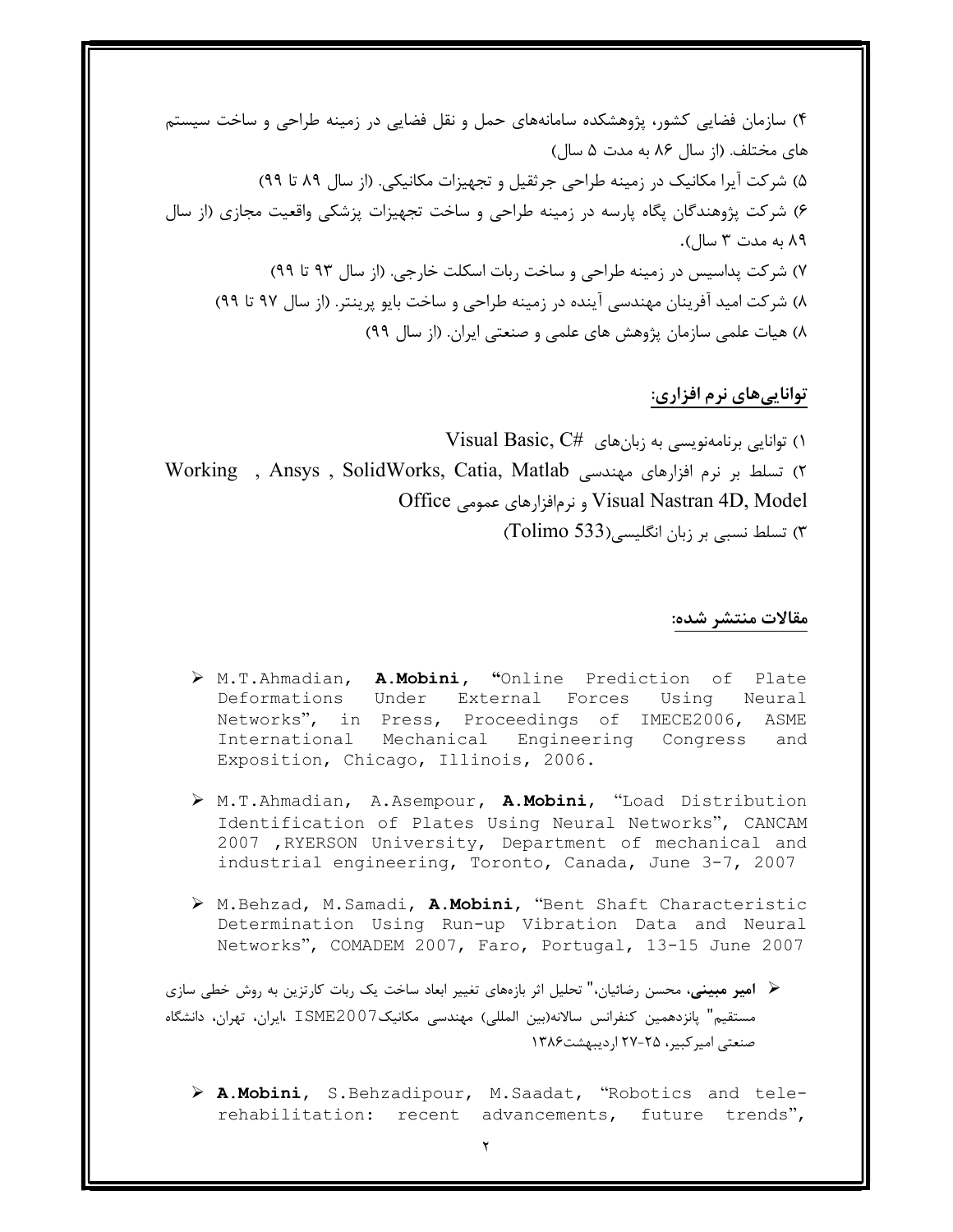٤) سازمان فضايي كشور، پژوهشكده سامانههاي حمل و نقل فضايي در زمينه طراحي و ساخت سيستم هاي مختلف. (از سال ٨٦ به مدت ٥ سال) ٥) شركت آيرا مكانيك در زمينه طراحي جرثقيل و تجهيزات مكانيكي. (از سال ٨٩ تا ٩٩) ٦) شركت پژوهندگان پگاه پارسه در زمينه طراحي و ساخت تجهيزات پزشكي واقعيت مجازي (از سال ٨٩ به مدت ٣ سال). ٧) شركت پداسيس در زمينه طراحي و ساخت ربات اسكلت خارجي. (از سال ٩٣ تا ٩٩) ٨) شركت اميد آفرينان مهندسي آينده در زمينه طراحي و ساخت بايو پرينتر. (از سال ٩٧ تا ٩٩) ٨) هيات علمي سازمان پژوهش هاي علمي و صنعتي ايران. (از سال ٩٩)

# تواناييهاي نرم افزاري:

١) توانايي برنامهنويسي به زبانهاي #Visual Basic, C ٢) تسلط بر نرم افزارهاي مهندسي Working , Ansys , SolidWorks, Catia, Matlab Office عمومي نرمافزارهاي و Visual Nastran 4D, Model ٣) تسلط نسبي بر زبان انگليسي(533 Tolimo (

#### مقالات منتشر شده:

- M.T.Ahmadian, A.Mobini, "Online Prediction of Plate Deformations Under External Forces Using Neural Networks", in Press, Proceedings of IMECE2006, ASME International Mechanical Engineering Congress and Exposition, Chicago, Illinois, 2006.
- > M.T.Ahmadian, A.Asempour, A.Mobini, "Load Distribution Identification of Plates Using Neural Networks", CANCAM 2007 ,RYERSON University, Department of mechanical and industrial engineering, Toronto, Canada, June 3-7, 2007
- > M.Behzad, M.Samadi, A.Mobini, "Bent Shaft Characteristic Determination Using Run-up Vibration Data and Neural Networks", COMADEM 2007, Faro, Portugal, 13-15 June 2007

 امير مبيني، محسن رضائيان،" تحليل اثر بازههاي تغيير ابعاد ساخت يك ربات كارتزين به روش خطي سازي مستقيم" پانزدهمين كنفرانس سالانه(بين المللي) مهندسي مكانيك2007ISME ،ايران، تهران، دانشگاه صنعتي اميركبير، ٢٧-٢٥ ارديبهشت١٣٨٦

 A.Mobini, S.Behzadipour, M.Saadat, "Robotics and telerehabilitation: recent advancements, future trends",